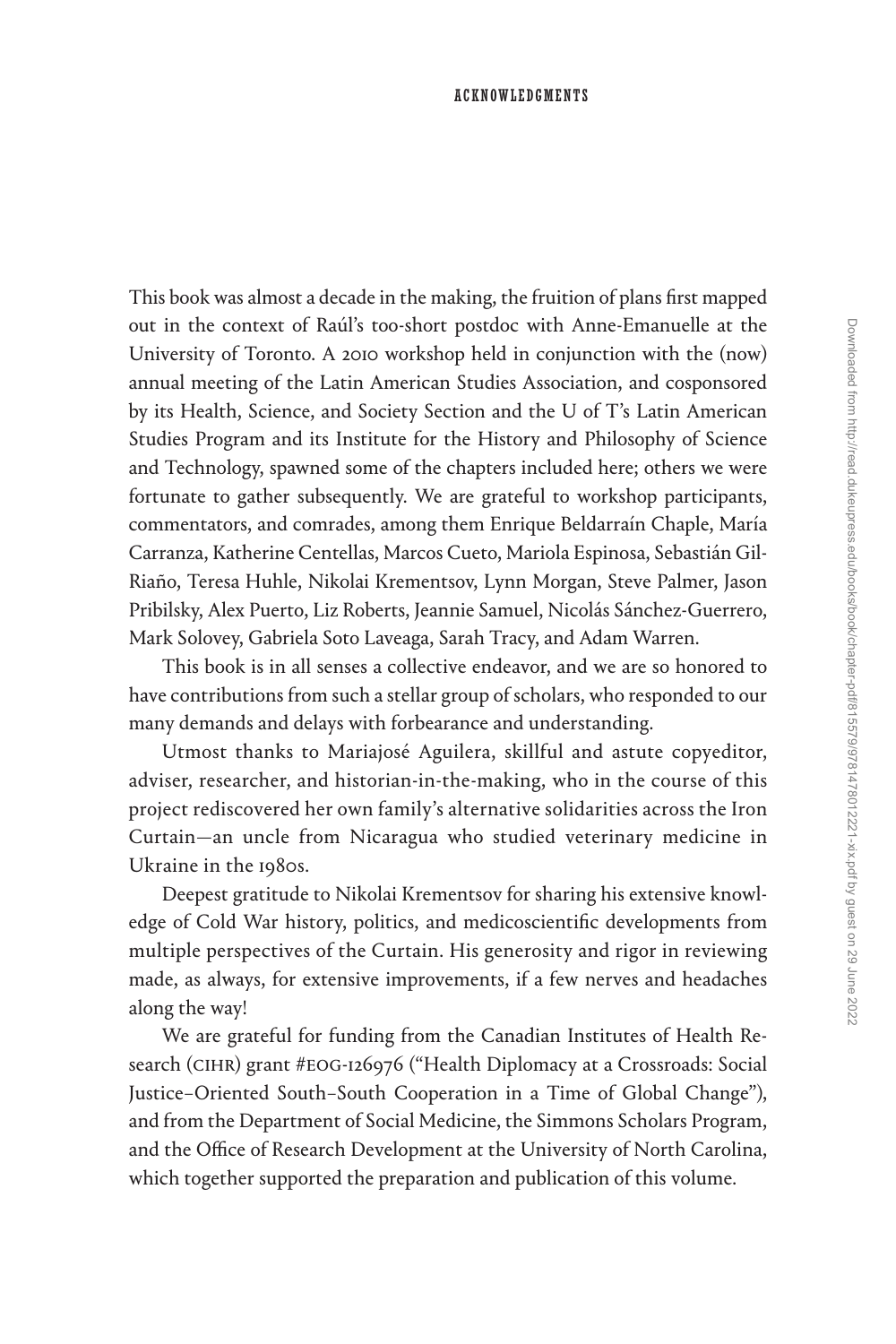This book was almost a decade in the making, the fruition of plans first mapped out in the context of Raúl's too-short postdoc with Anne-Emanuelle at the University of Toronto. A 2010 workshop held in conjunction with the (now) annual meeting of the Latin American Studies Association, and cosponsored by its Health, Science, and Society Section and the U of T's Latin American Studies Program and its Institute for the History and Philosophy of Science and Technology, spawned some of the chapters included here; others we were fortunate to gather subsequently. We are grateful to workshop participants, commentators, and comrades, among them Enrique Beldarraín Chaple, María Carranza, Katherine Centellas, Marcos Cueto, Mariola Espinosa, Sebastián Gil-Riaño, Teresa Huhle, Nikolai Krementsov, Lynn Morgan, Steve Palmer, Jason Pribilsky, Alex Puerto, Liz Roberts, Jeannie Samuel, Nicolás Sánchez-Guerrero, Mark Solovey, Gabriela Soto Laveaga, Sarah Tracy, and Adam Warren.

This book is in all senses a collective endeavor, and we are so honored to have contributions from such a stellar group of scholars, who responded to our many demands and delays with forbearance and understanding.

Utmost thanks to Mariajosé Aguilera, skillful and astute copyeditor, adviser, researcher, and historian-in-the-making, who in the course of this project rediscovered her own family's alternative solidarities across the Iron Curtain—an uncle from Nicaragua who studied veterinary medicine in Ukraine in the 1980s.

Deepest gratitude to Nikolai Krementsov for sharing his extensive knowledge of Cold War history, politics, and medicoscientific developments from multiple perspectives of the Curtain. His generosity and rigor in reviewing made, as always, for extensive improvements, if a few nerves and headaches along the way!

We are grateful for funding from the Canadian Institutes of Health Research (CIHR) grant #EOG-126976 ("Health Diplomacy at a Crossroads: Social Justice–Oriented South–South Cooperation in a Time of Global Change"), and from the Department of Social Medicine, the Simmons Scholars Program, and the Office of Research Development at the University of North Carolina, which together supported the preparation and publication of this volume.